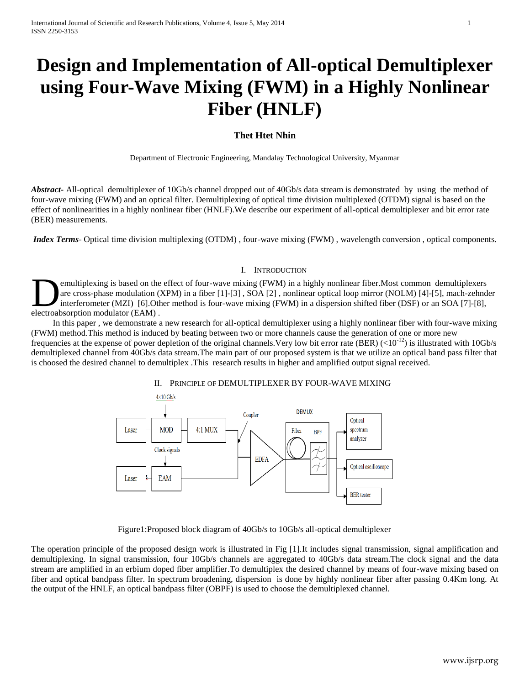# **Design and Implementation of All-optical Demultiplexer using Four-Wave Mixing (FWM) in a Highly Nonlinear Fiber (HNLF)**

# **Thet Htet Nhin**

Department of Electronic Engineering, Mandalay Technological University, Myanmar

*Abstract***-** All-optical demultiplexer of 10Gb/s channel dropped out of 40Gb/s data stream is demonstrated by using the method of four-wave mixing (FWM) and an optical filter. Demultiplexing of optical time division multiplexed (OTDM) signal is based on the effect of nonlinearities in a highly nonlinear fiber (HNLF).We describe our experiment of all-optical demultiplexer and bit error rate (BER) measurements.

*Index Terms*- Optical time division multiplexing (OTDM), four-wave mixing (FWM), wavelength conversion, optical components.

## I. INTRODUCTION

emultiplexing is based on the effect of four-wave mixing (FWM) in a highly nonlinear fiber.Most common demultiplexers are cross-phase modulation (XPM) in a fiber [1]-[3] , SOA [2] , nonlinear optical loop mirror (NOLM) [4]-[5], mach-zehnder interferometer (MZI) [6].Other method is four-wave mixing (FWM) in a dispersion shifted fiber (DSF) or an SOA [7]-[8], emultiplexing is based on the<br>are cross-phase modulation (<br>interferometer (MZI) [6].Otl<br>electroabsorption modulator (EAM).

 In this paper , we demonstrate a new research for all-optical demultiplexer using a highly nonlinear fiber with four-wave mixing (FWM) method.This method is induced by beating between two or more channels cause the generation of one or more new frequencies at the expense of power depletion of the original channels. Very low bit error rate (BER)  $(<10^{-12}$ ) is illustrated with 10Gb/s demultiplexed channel from 40Gb/s data stream.The main part of our proposed system is that we utilize an optical band pass filter that is choosed the desired channel to demultiplex .This research results in higher and amplified output signal received.



## II. PRINCIPLE OF DEMULTIPLEXER BY FOUR-WAVE MIXING

Figure1:Proposed block diagram of 40Gb/s to 10Gb/s all-optical demultiplexer

The operation principle of the proposed design work is illustrated in Fig [1].It includes signal transmission, signal amplification and demultiplexing. In signal transmission, four 10Gb/s channels are aggregated to 40Gb/s data stream.The clock signal and the data stream are amplified in an erbium doped fiber amplifier.To demultiplex the desired channel by means of four-wave mixing based on fiber and optical bandpass filter. In spectrum broadening, dispersion is done by highly nonlinear fiber after passing 0.4Km long. At the output of the HNLF, an optical bandpass filter (OBPF) is used to choose the demultiplexed channel.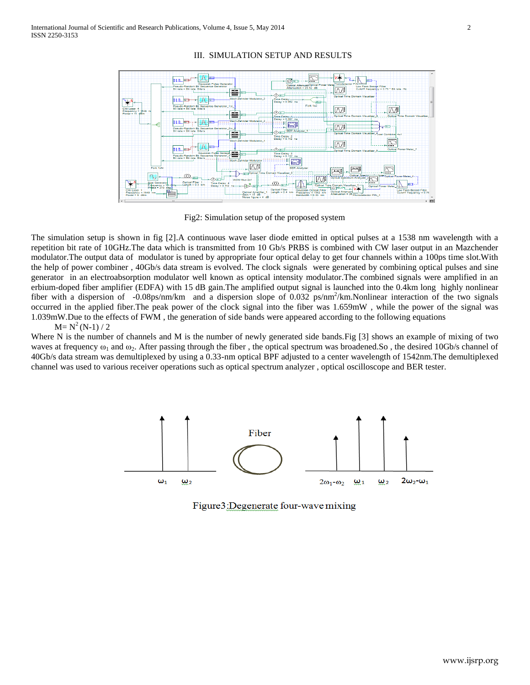

### III. SIMULATION SETUP AND RESULTS

Fig2: Simulation setup of the proposed system

The simulation setup is shown in fig [2].A continuous wave laser diode emitted in optical pulses at a 1538 nm wavelength with a repetition bit rate of 10GHz.The data which is transmitted from 10 Gb/s PRBS is combined with CW laser output in an Mazchender modulator.The output data of modulator is tuned by appropriate four optical delay to get four channels within a 100ps time slot.With the help of power combiner , 40Gb/s data stream is evolved. The clock signals were generated by combining optical pulses and sine generator in an electroabsorption modulator well known as optical intensity modulator.The combined signals were amplified in an erbium-doped fiber amplifier (EDFA) with 15 dB gain.The amplified output signal is launched into the 0.4km long highly nonlinear fiber with a dispersion of -0.08ps/nm/km and a dispersion slope of 0.032 ps/nm<sup>2</sup>/km.Nonlinear interaction of the two signals occurred in the applied fiber.The peak power of the clock signal into the fiber was 1.659mW , while the power of the signal was 1.039mW.Due to the effects of FWM , the generation of side bands were appeared according to the following equations

#### $M=N^2(N-1)/2$

Where N is the number of channels and M is the number of newly generated side bands. Fig [3] shows an example of mixing of two waves at frequency  $\omega_1$  and  $\omega_2$ . After passing through the fiber, the optical spectrum was broadened. So, the desired 10Gb/s channel of 40Gb/s data stream was demultiplexed by using a 0.33-nm optical BPF adjusted to a center wavelength of 1542nm.The demultiplexed channel was used to various receiver operations such as optical spectrum analyzer , optical oscilloscope and BER tester.



Figure 3: Degenerate four-wave mixing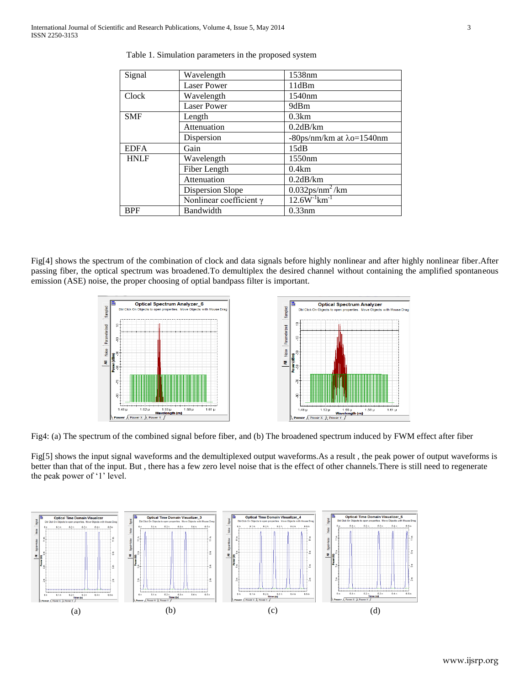| Signal      | Wavelength                     | 1538nm                                 |
|-------------|--------------------------------|----------------------------------------|
|             | <b>Laser Power</b>             | 11dBm                                  |
| Clock       | Wavelength                     | 1540nm                                 |
|             | <b>Laser Power</b>             | 9dBm                                   |
| <b>SMF</b>  | Length                         | 0.3km                                  |
|             | Attenuation                    | 0.2dB/km                               |
|             | Dispersion                     | $-80$ ps/nm/km at $\lambda$ o=1540nm   |
| <b>EDFA</b> | Gain                           | 15dB                                   |
| <b>HNLF</b> | Wavelength                     | 1550 <sub>nm</sub>                     |
|             | Fiber Length                   | 0.4km                                  |
|             | Attenuation                    | 0.2dB/km                               |
|             | <b>Dispersion Slope</b>        | $0.032$ ps/nm <sup>2</sup> /km         |
|             | Nonlinear coefficient $\gamma$ | $12.6W$ <sup>-1</sup> km <sup>-1</sup> |
| <b>BPF</b>  | Bandwidth                      | $0.33$ nm                              |

Fig[4] shows the spectrum of the combination of clock and data signals before highly nonlinear and after highly nonlinear fiber.After passing fiber, the optical spectrum was broadened.To demultiplex the desired channel without containing the amplified spontaneous emission (ASE) noise, the proper choosing of optial bandpass filter is important.



Fig4: (a) The spectrum of the combined signal before fiber, and (b) The broadened spectrum induced by FWM effect after fiber

Fig[5] shows the input signal waveforms and the demultiplexed output waveforms.As a result, the peak power of output waveforms is better than that of the input. But , there has a few zero level noise that is the effect of other channels.There is still need to regenerate the peak power of '1' level.

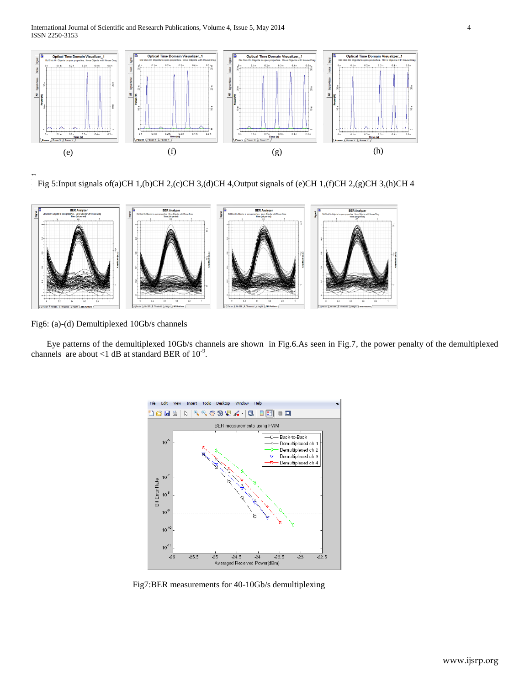

F Fig 5:Input signals of(a)CH 1,(b)CH 2,(c)CH 3,(d)CH 4,Output signals of (e)CH 1,(f)CH 2,(g)CH 3,(h)CH 4



Fig6: (a)-(d) Demultiplexed 10Gb/s channels

Eye patterns of the demultiplexed 10Gb/s channels are shown in Fig.6.As seen in Fig.7, the power penalty of the demultiplexed channels are about <1 dB at standard BER of  $10^{-9}$ .



Fig7:BER measurements for 40-10Gb/s demultiplexing